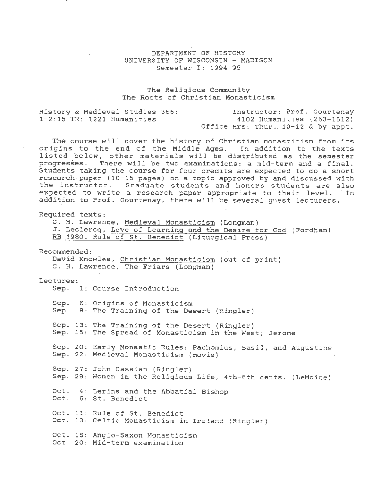## DEPARTMENT OF HISTORY UNIVERSITY OF WISCONSIN - MADISON Semester I: 1994-95

## The Religious Community The Roots of Christian Monasticism

| History & Medieval Studies 366: | Instructor: Prof. Courtenay          |
|---------------------------------|--------------------------------------|
| $1-2:15$ TR: 1221 Humanities    | 4102 Humanities (263-1812)           |
|                                 | Office Hrs: Thur. $10-12$ & by appt. |

The course will cover the history of Christian monasticism from its origins to the end of the Middle Ages. In addition to the texts listed below, other materials will be distributed as the semester progresses. There will be two examinations: a mid-term and a final. Students taking the course for four credits are expected to do a short research . paper (10-15 pages) on a topic approved by and discussed with the instructor. Graduate students and honors students are also expected to write a research paper appropriate to their level. In addition to Prof. Courtenay, there will be several guest lecturers.

Required texts:

C. H. Lawrence, Medieval Monasticism (Longman)

J. Leclercq, Love of Learning and the Desire for God (Fordham)

RB 1980. Rule of St. Benedict (Liturgical Press)

Recommended: David Knowles, Christian Monasticism (out of print) C. H. Lawrence, The Friars (Longman) Lectures: Sep. 1: CoUrse Introduction Sep. 6: Origins of Monasticism Sep. 8: The Training of the Desert (Ringler) Sep. 13: The Training of the Desert (Ringler) Sep. 15: The Spread of Monasticism in the West; Jerome Sep. 20: Early Monastic Rules: Pachomius, Basil, and Augustine Sep. 22: Medieval Monasticism (movie) Sep. 27: John Cassian (Ringler) Sep. 29: Women in the Religious Life, 4th-6th cents. (LeMoine) Oct. 4: Lerins and the Abbatial Bishop Oct. 6: St. Benedict Oct. 11: Rule of St. Benedict Oct. 13: Celtic Monasticism in Ireland (Ringler) Oct. 16: Anglo-Saxon Monasticism Oct. 20: Mid-term examination